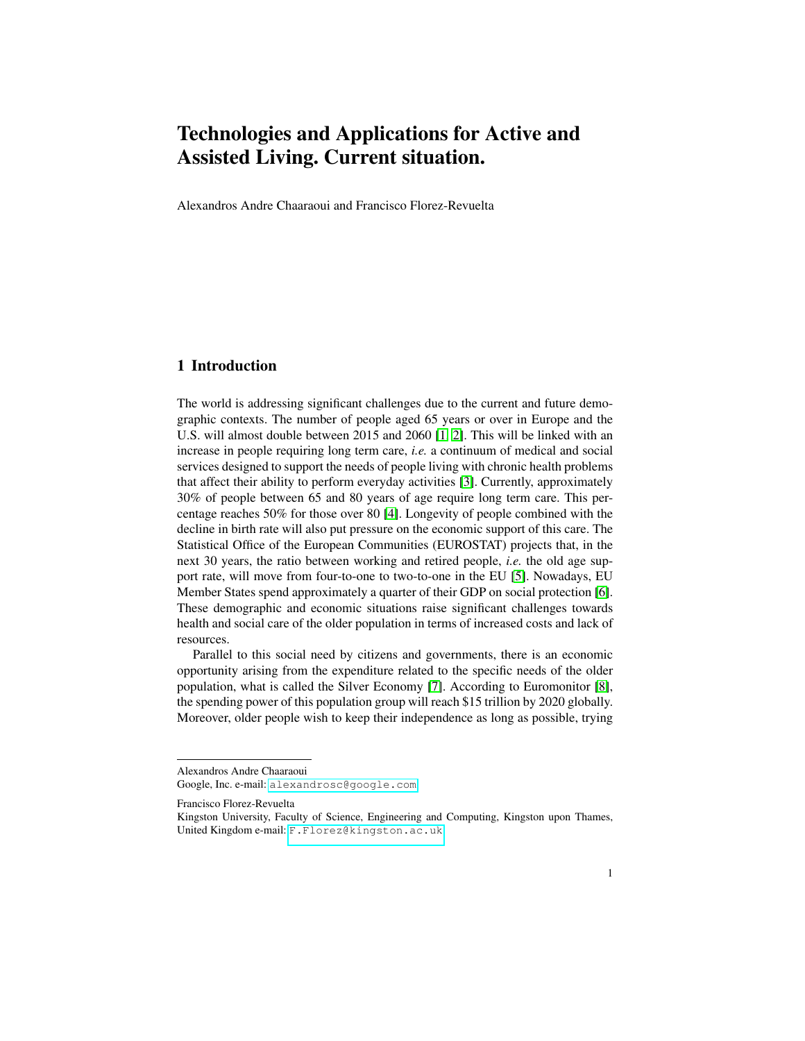# Technologies and Applications for Active and Assisted Living. Current situation.

Alexandros Andre Chaaraoui and Francisco Florez-Revuelta

# 1 Introduction

The world is addressing significant challenges due to the current and future demographic contexts. The number of people aged 65 years or over in Europe and the U.S. will almost double between 2015 and 2060 [\[1,](#page-7-0) [2\]](#page-8-0). This will be linked with an increase in people requiring long term care, *i.e.* a continuum of medical and social services designed to support the needs of people living with chronic health problems that affect their ability to perform everyday activities [\[3\]](#page-8-1). Currently, approximately 30% of people between 65 and 80 years of age require long term care. This percentage reaches 50% for those over 80 [\[4\]](#page-8-2). Longevity of people combined with the decline in birth rate will also put pressure on the economic support of this care. The Statistical Office of the European Communities (EUROSTAT) projects that, in the next 30 years, the ratio between working and retired people, *i.e.* the old age support rate, will move from four-to-one to two-to-one in the EU [\[5\]](#page-8-3). Nowadays, EU Member States spend approximately a quarter of their GDP on social protection [\[6\]](#page-8-4). These demographic and economic situations raise significant challenges towards health and social care of the older population in terms of increased costs and lack of resources.

Parallel to this social need by citizens and governments, there is an economic opportunity arising from the expenditure related to the specific needs of the older population, what is called the Silver Economy [\[7\]](#page-8-5). According to Euromonitor [\[8\]](#page-8-6), the spending power of this population group will reach \$15 trillion by 2020 globally. Moreover, older people wish to keep their independence as long as possible, trying

Francisco Florez-Revuelta

Alexandros Andre Chaaraoui

Google, Inc. e-mail: <alexandrosc@google.com>

Kingston University, Faculty of Science, Engineering and Computing, Kingston upon Thames, United Kingdom e-mail: <F.Florez@kingston.ac.uk>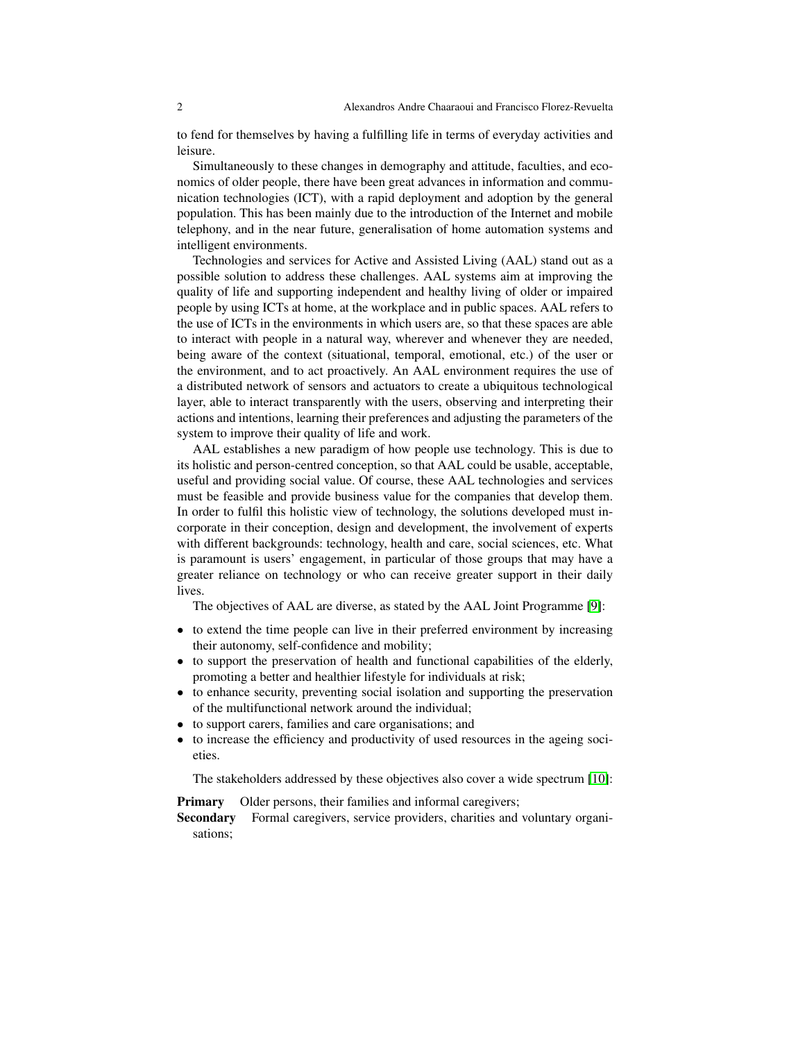to fend for themselves by having a fulfilling life in terms of everyday activities and leisure.

Simultaneously to these changes in demography and attitude, faculties, and economics of older people, there have been great advances in information and communication technologies (ICT), with a rapid deployment and adoption by the general population. This has been mainly due to the introduction of the Internet and mobile telephony, and in the near future, generalisation of home automation systems and intelligent environments.

Technologies and services for Active and Assisted Living (AAL) stand out as a possible solution to address these challenges. AAL systems aim at improving the quality of life and supporting independent and healthy living of older or impaired people by using ICTs at home, at the workplace and in public spaces. AAL refers to the use of ICTs in the environments in which users are, so that these spaces are able to interact with people in a natural way, wherever and whenever they are needed, being aware of the context (situational, temporal, emotional, etc.) of the user or the environment, and to act proactively. An AAL environment requires the use of a distributed network of sensors and actuators to create a ubiquitous technological layer, able to interact transparently with the users, observing and interpreting their actions and intentions, learning their preferences and adjusting the parameters of the system to improve their quality of life and work.

AAL establishes a new paradigm of how people use technology. This is due to its holistic and person-centred conception, so that AAL could be usable, acceptable, useful and providing social value. Of course, these AAL technologies and services must be feasible and provide business value for the companies that develop them. In order to fulfil this holistic view of technology, the solutions developed must incorporate in their conception, design and development, the involvement of experts with different backgrounds: technology, health and care, social sciences, etc. What is paramount is users' engagement, in particular of those groups that may have a greater reliance on technology or who can receive greater support in their daily lives.

The objectives of AAL are diverse, as stated by the AAL Joint Programme [\[9\]](#page-8-7):

- to extend the time people can live in their preferred environment by increasing their autonomy, self-confidence and mobility;
- to support the preservation of health and functional capabilities of the elderly, promoting a better and healthier lifestyle for individuals at risk;
- to enhance security, preventing social isolation and supporting the preservation of the multifunctional network around the individual;
- to support carers, families and care organisations; and
- to increase the efficiency and productivity of used resources in the ageing societies.

The stakeholders addressed by these objectives also cover a wide spectrum [\[10\]](#page-8-8):

Primary Older persons, their families and informal caregivers;

Secondary Formal caregivers, service providers, charities and voluntary organisations;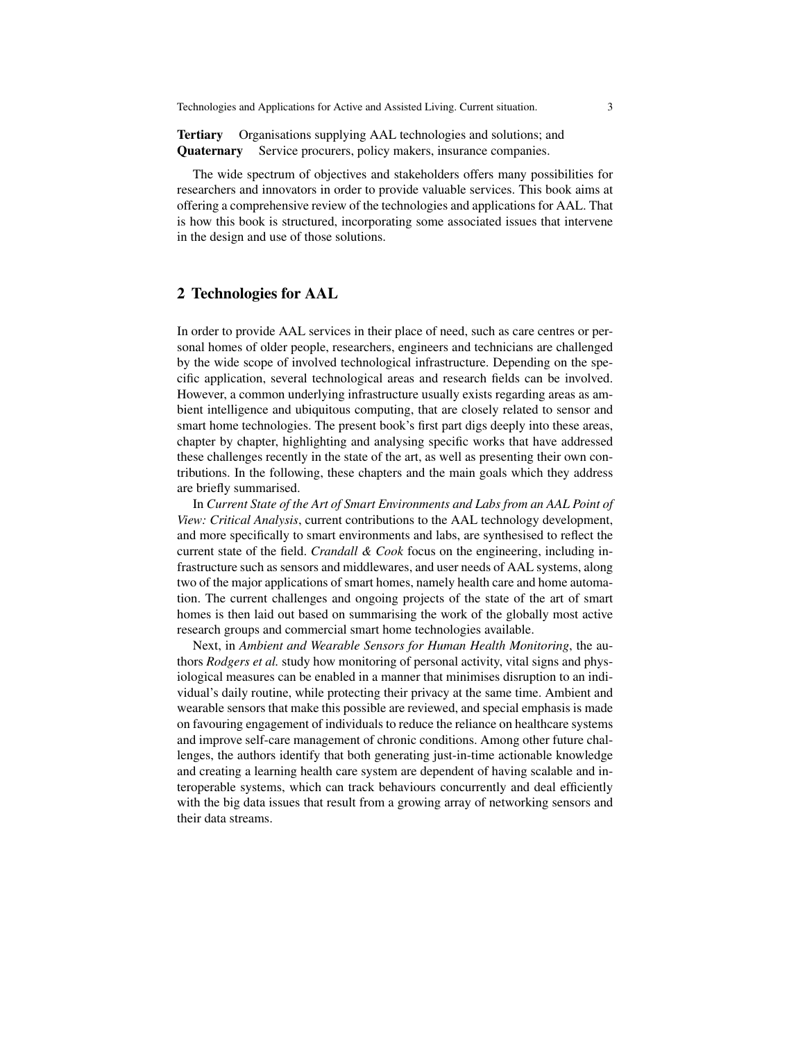Tertiary Organisations supplying AAL technologies and solutions; and Quaternary Service procurers, policy makers, insurance companies.

The wide spectrum of objectives and stakeholders offers many possibilities for researchers and innovators in order to provide valuable services. This book aims at offering a comprehensive review of the technologies and applications for AAL. That is how this book is structured, incorporating some associated issues that intervene in the design and use of those solutions.

## 2 Technologies for AAL

In order to provide AAL services in their place of need, such as care centres or personal homes of older people, researchers, engineers and technicians are challenged by the wide scope of involved technological infrastructure. Depending on the specific application, several technological areas and research fields can be involved. However, a common underlying infrastructure usually exists regarding areas as ambient intelligence and ubiquitous computing, that are closely related to sensor and smart home technologies. The present book's first part digs deeply into these areas, chapter by chapter, highlighting and analysing specific works that have addressed these challenges recently in the state of the art, as well as presenting their own contributions. In the following, these chapters and the main goals which they address are briefly summarised.

In *Current State of the Art of Smart Environments and Labs from an AAL Point of View: Critical Analysis*, current contributions to the AAL technology development, and more specifically to smart environments and labs, are synthesised to reflect the current state of the field. *Crandall & Cook* focus on the engineering, including infrastructure such as sensors and middlewares, and user needs of AAL systems, along two of the major applications of smart homes, namely health care and home automation. The current challenges and ongoing projects of the state of the art of smart homes is then laid out based on summarising the work of the globally most active research groups and commercial smart home technologies available.

Next, in *Ambient and Wearable Sensors for Human Health Monitoring*, the authors *Rodgers et al.* study how monitoring of personal activity, vital signs and physiological measures can be enabled in a manner that minimises disruption to an individual's daily routine, while protecting their privacy at the same time. Ambient and wearable sensors that make this possible are reviewed, and special emphasis is made on favouring engagement of individuals to reduce the reliance on healthcare systems and improve self-care management of chronic conditions. Among other future challenges, the authors identify that both generating just-in-time actionable knowledge and creating a learning health care system are dependent of having scalable and interoperable systems, which can track behaviours concurrently and deal efficiently with the big data issues that result from a growing array of networking sensors and their data streams.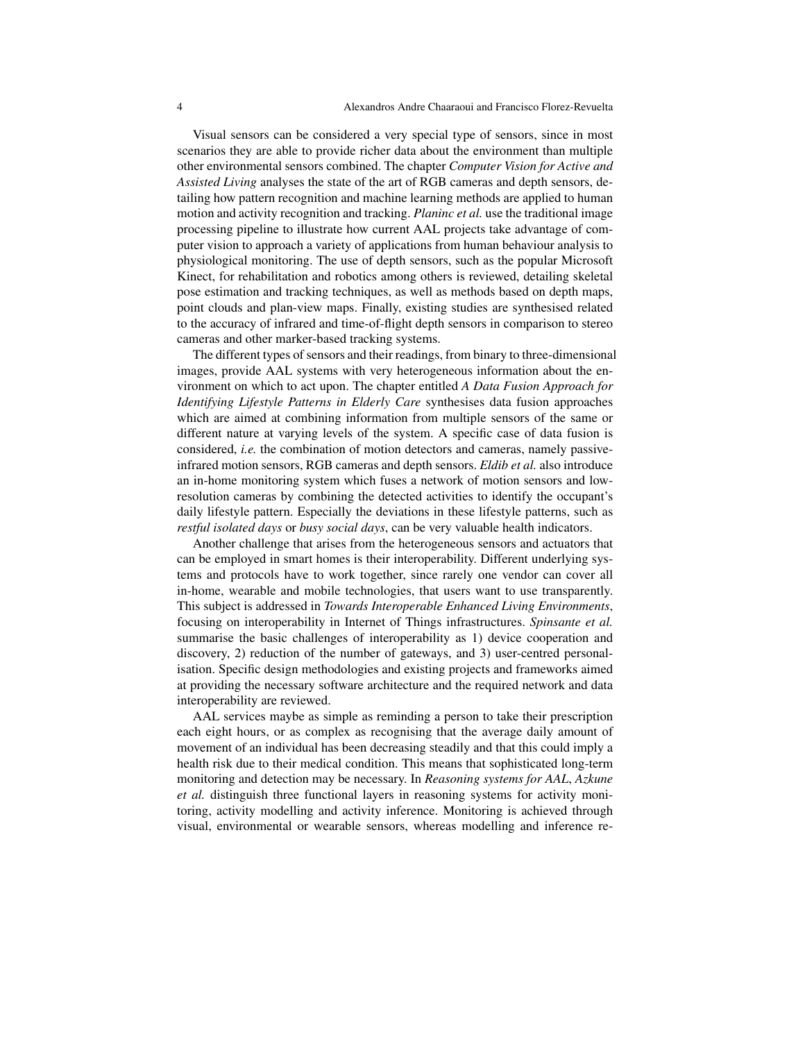Visual sensors can be considered a very special type of sensors, since in most scenarios they are able to provide richer data about the environment than multiple other environmental sensors combined. The chapter *Computer Vision for Active and Assisted Living* analyses the state of the art of RGB cameras and depth sensors, detailing how pattern recognition and machine learning methods are applied to human motion and activity recognition and tracking. *Planinc et al.* use the traditional image processing pipeline to illustrate how current AAL projects take advantage of computer vision to approach a variety of applications from human behaviour analysis to physiological monitoring. The use of depth sensors, such as the popular Microsoft Kinect, for rehabilitation and robotics among others is reviewed, detailing skeletal pose estimation and tracking techniques, as well as methods based on depth maps, point clouds and plan-view maps. Finally, existing studies are synthesised related to the accuracy of infrared and time-of-flight depth sensors in comparison to stereo cameras and other marker-based tracking systems.

The different types of sensors and their readings, from binary to three-dimensional images, provide AAL systems with very heterogeneous information about the environment on which to act upon. The chapter entitled *A Data Fusion Approach for Identifying Lifestyle Patterns in Elderly Care* synthesises data fusion approaches which are aimed at combining information from multiple sensors of the same or different nature at varying levels of the system. A specific case of data fusion is considered, *i.e.* the combination of motion detectors and cameras, namely passiveinfrared motion sensors, RGB cameras and depth sensors. *Eldib et al.* also introduce an in-home monitoring system which fuses a network of motion sensors and lowresolution cameras by combining the detected activities to identify the occupant's daily lifestyle pattern. Especially the deviations in these lifestyle patterns, such as *restful isolated days* or *busy social days*, can be very valuable health indicators.

Another challenge that arises from the heterogeneous sensors and actuators that can be employed in smart homes is their interoperability. Different underlying systems and protocols have to work together, since rarely one vendor can cover all in-home, wearable and mobile technologies, that users want to use transparently. This subject is addressed in *Towards Interoperable Enhanced Living Environments*, focusing on interoperability in Internet of Things infrastructures. *Spinsante et al.* summarise the basic challenges of interoperability as 1) device cooperation and discovery, 2) reduction of the number of gateways, and 3) user-centred personalisation. Specific design methodologies and existing projects and frameworks aimed at providing the necessary software architecture and the required network and data interoperability are reviewed.

AAL services maybe as simple as reminding a person to take their prescription each eight hours, or as complex as recognising that the average daily amount of movement of an individual has been decreasing steadily and that this could imply a health risk due to their medical condition. This means that sophisticated long-term monitoring and detection may be necessary. In *Reasoning systems for AAL*, *Azkune et al.* distinguish three functional layers in reasoning systems for activity monitoring, activity modelling and activity inference. Monitoring is achieved through visual, environmental or wearable sensors, whereas modelling and inference re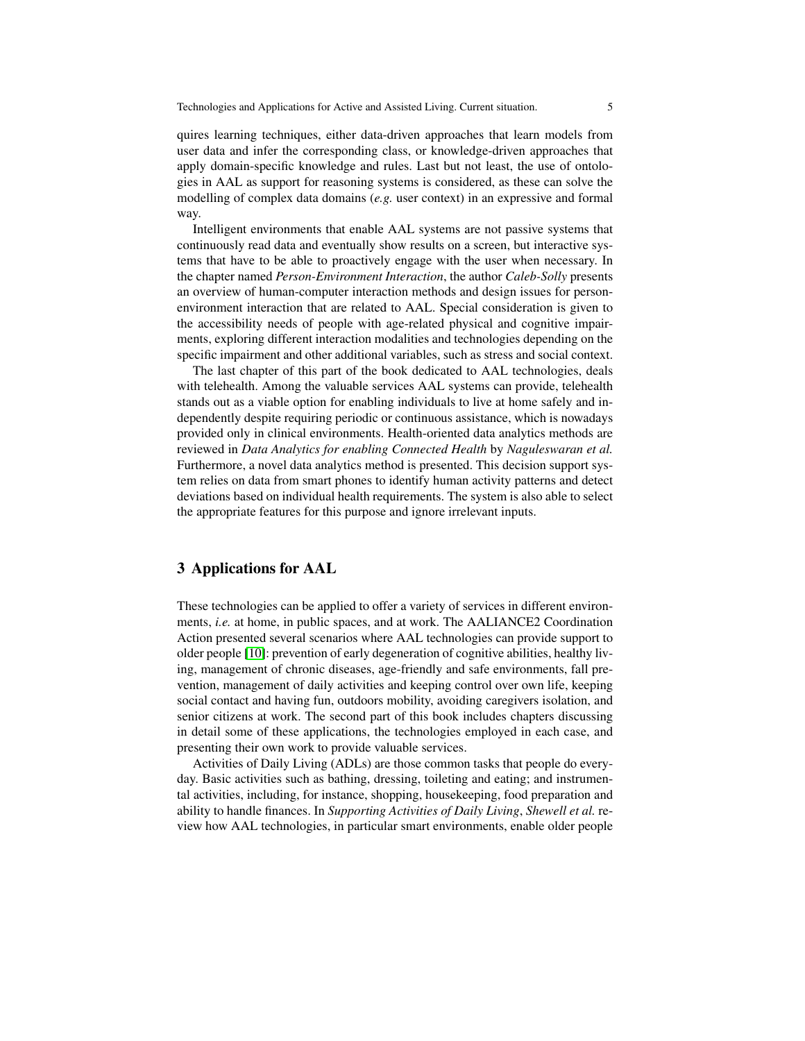quires learning techniques, either data-driven approaches that learn models from user data and infer the corresponding class, or knowledge-driven approaches that apply domain-specific knowledge and rules. Last but not least, the use of ontologies in AAL as support for reasoning systems is considered, as these can solve the modelling of complex data domains (*e.g.* user context) in an expressive and formal way.

Intelligent environments that enable AAL systems are not passive systems that continuously read data and eventually show results on a screen, but interactive systems that have to be able to proactively engage with the user when necessary. In the chapter named *Person-Environment Interaction*, the author *Caleb-Solly* presents an overview of human-computer interaction methods and design issues for personenvironment interaction that are related to AAL. Special consideration is given to the accessibility needs of people with age-related physical and cognitive impairments, exploring different interaction modalities and technologies depending on the specific impairment and other additional variables, such as stress and social context.

The last chapter of this part of the book dedicated to AAL technologies, deals with telehealth. Among the valuable services AAL systems can provide, telehealth stands out as a viable option for enabling individuals to live at home safely and independently despite requiring periodic or continuous assistance, which is nowadays provided only in clinical environments. Health-oriented data analytics methods are reviewed in *Data Analytics for enabling Connected Health* by *Naguleswaran et al.* Furthermore, a novel data analytics method is presented. This decision support system relies on data from smart phones to identify human activity patterns and detect deviations based on individual health requirements. The system is also able to select the appropriate features for this purpose and ignore irrelevant inputs.

#### 3 Applications for AAL

These technologies can be applied to offer a variety of services in different environments, *i.e.* at home, in public spaces, and at work. The AALIANCE2 Coordination Action presented several scenarios where AAL technologies can provide support to older people [\[10\]](#page-8-8): prevention of early degeneration of cognitive abilities, healthy living, management of chronic diseases, age-friendly and safe environments, fall prevention, management of daily activities and keeping control over own life, keeping social contact and having fun, outdoors mobility, avoiding caregivers isolation, and senior citizens at work. The second part of this book includes chapters discussing in detail some of these applications, the technologies employed in each case, and presenting their own work to provide valuable services.

Activities of Daily Living (ADLs) are those common tasks that people do everyday. Basic activities such as bathing, dressing, toileting and eating; and instrumental activities, including, for instance, shopping, housekeeping, food preparation and ability to handle finances. In *Supporting Activities of Daily Living*, *Shewell et al.* review how AAL technologies, in particular smart environments, enable older people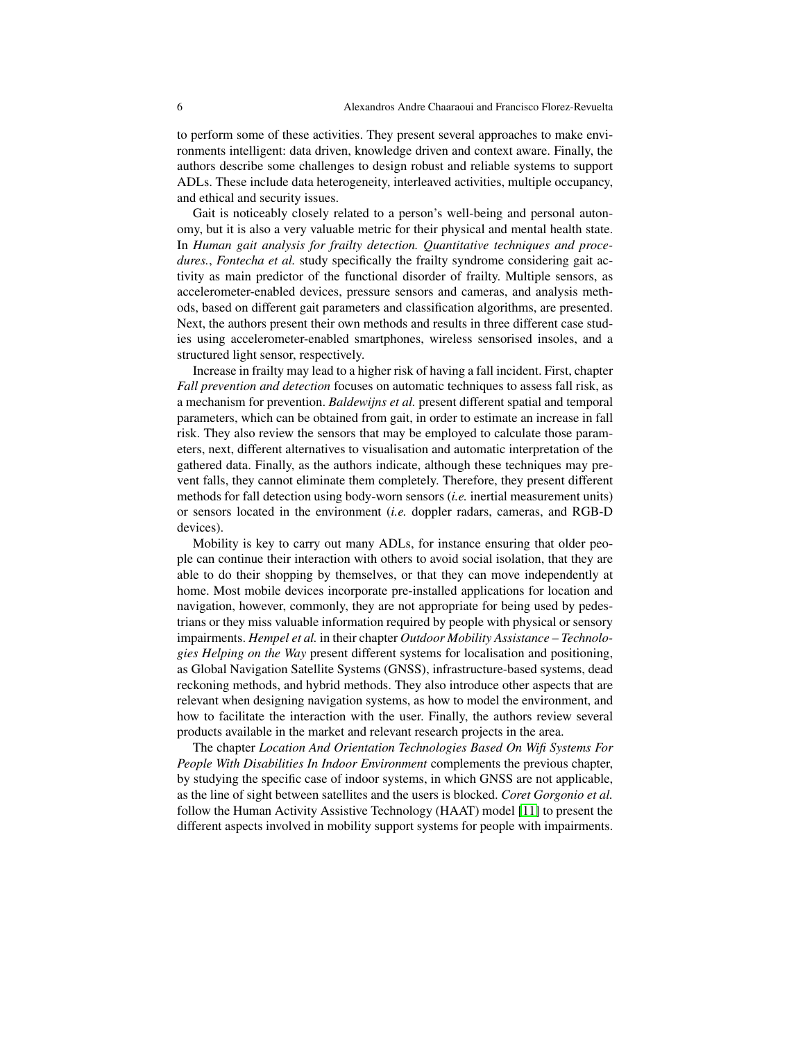to perform some of these activities. They present several approaches to make environments intelligent: data driven, knowledge driven and context aware. Finally, the authors describe some challenges to design robust and reliable systems to support ADLs. These include data heterogeneity, interleaved activities, multiple occupancy, and ethical and security issues.

Gait is noticeably closely related to a person's well-being and personal autonomy, but it is also a very valuable metric for their physical and mental health state. In *Human gait analysis for frailty detection. Quantitative techniques and procedures.*, *Fontecha et al.* study specifically the frailty syndrome considering gait activity as main predictor of the functional disorder of frailty. Multiple sensors, as accelerometer-enabled devices, pressure sensors and cameras, and analysis methods, based on different gait parameters and classification algorithms, are presented. Next, the authors present their own methods and results in three different case studies using accelerometer-enabled smartphones, wireless sensorised insoles, and a structured light sensor, respectively.

Increase in frailty may lead to a higher risk of having a fall incident. First, chapter *Fall prevention and detection* focuses on automatic techniques to assess fall risk, as a mechanism for prevention. *Baldewijns et al.* present different spatial and temporal parameters, which can be obtained from gait, in order to estimate an increase in fall risk. They also review the sensors that may be employed to calculate those parameters, next, different alternatives to visualisation and automatic interpretation of the gathered data. Finally, as the authors indicate, although these techniques may prevent falls, they cannot eliminate them completely. Therefore, they present different methods for fall detection using body-worn sensors (*i.e.* inertial measurement units) or sensors located in the environment (*i.e.* doppler radars, cameras, and RGB-D devices).

Mobility is key to carry out many ADLs, for instance ensuring that older people can continue their interaction with others to avoid social isolation, that they are able to do their shopping by themselves, or that they can move independently at home. Most mobile devices incorporate pre-installed applications for location and navigation, however, commonly, they are not appropriate for being used by pedestrians or they miss valuable information required by people with physical or sensory impairments. *Hempel et al.* in their chapter *Outdoor Mobility Assistance – Technologies Helping on the Way* present different systems for localisation and positioning, as Global Navigation Satellite Systems (GNSS), infrastructure-based systems, dead reckoning methods, and hybrid methods. They also introduce other aspects that are relevant when designing navigation systems, as how to model the environment, and how to facilitate the interaction with the user. Finally, the authors review several products available in the market and relevant research projects in the area.

The chapter *Location And Orientation Technologies Based On Wifi Systems For People With Disabilities In Indoor Environment* complements the previous chapter, by studying the specific case of indoor systems, in which GNSS are not applicable, as the line of sight between satellites and the users is blocked. *Coret Gorgonio et al.* follow the Human Activity Assistive Technology (HAAT) model [\[11\]](#page-8-9) to present the different aspects involved in mobility support systems for people with impairments.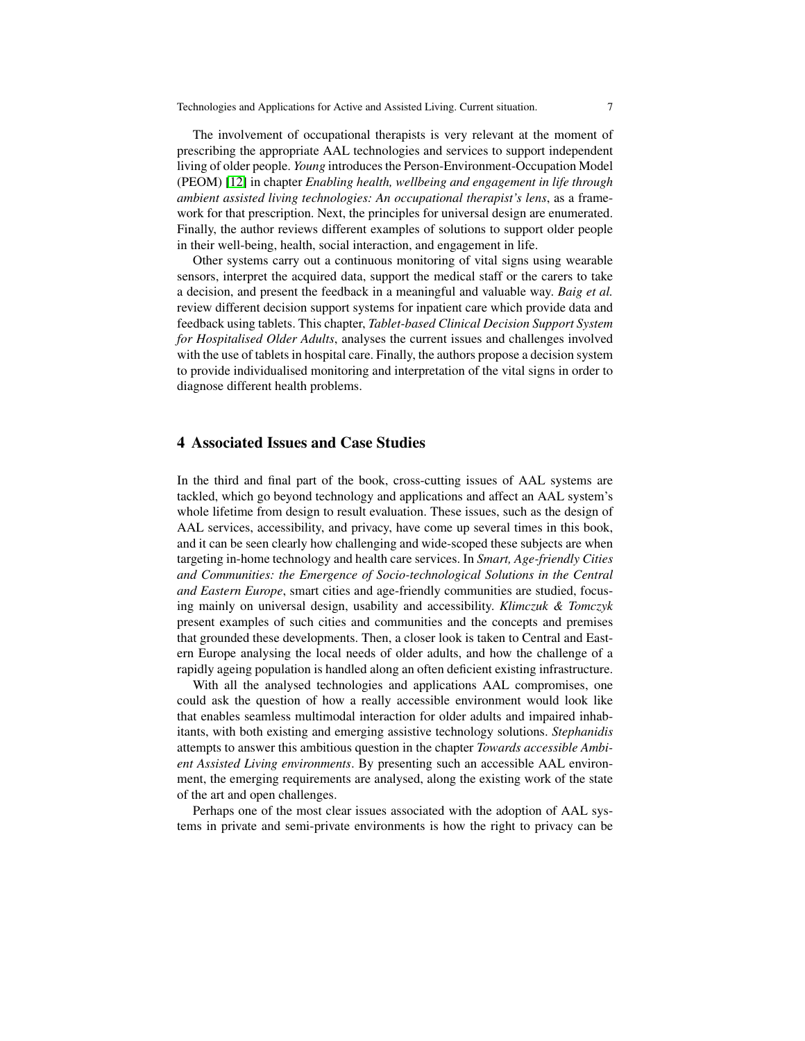Technologies and Applications for Active and Assisted Living. Current situation. 7

The involvement of occupational therapists is very relevant at the moment of prescribing the appropriate AAL technologies and services to support independent living of older people. *Young* introduces the Person-Environment-Occupation Model (PEOM) [\[12\]](#page-8-10) in chapter *Enabling health, wellbeing and engagement in life through ambient assisted living technologies: An occupational therapist's lens*, as a framework for that prescription. Next, the principles for universal design are enumerated. Finally, the author reviews different examples of solutions to support older people in their well-being, health, social interaction, and engagement in life.

Other systems carry out a continuous monitoring of vital signs using wearable sensors, interpret the acquired data, support the medical staff or the carers to take a decision, and present the feedback in a meaningful and valuable way. *Baig et al.* review different decision support systems for inpatient care which provide data and feedback using tablets. This chapter, *Tablet-based Clinical Decision Support System for Hospitalised Older Adults*, analyses the current issues and challenges involved with the use of tablets in hospital care. Finally, the authors propose a decision system to provide individualised monitoring and interpretation of the vital signs in order to diagnose different health problems.

## 4 Associated Issues and Case Studies

In the third and final part of the book, cross-cutting issues of AAL systems are tackled, which go beyond technology and applications and affect an AAL system's whole lifetime from design to result evaluation. These issues, such as the design of AAL services, accessibility, and privacy, have come up several times in this book, and it can be seen clearly how challenging and wide-scoped these subjects are when targeting in-home technology and health care services. In *Smart, Age-friendly Cities and Communities: the Emergence of Socio-technological Solutions in the Central and Eastern Europe*, smart cities and age-friendly communities are studied, focusing mainly on universal design, usability and accessibility. *Klimczuk & Tomczyk* present examples of such cities and communities and the concepts and premises that grounded these developments. Then, a closer look is taken to Central and Eastern Europe analysing the local needs of older adults, and how the challenge of a rapidly ageing population is handled along an often deficient existing infrastructure.

With all the analysed technologies and applications AAL compromises, one could ask the question of how a really accessible environment would look like that enables seamless multimodal interaction for older adults and impaired inhabitants, with both existing and emerging assistive technology solutions. *Stephanidis* attempts to answer this ambitious question in the chapter *Towards accessible Ambient Assisted Living environments*. By presenting such an accessible AAL environment, the emerging requirements are analysed, along the existing work of the state of the art and open challenges.

Perhaps one of the most clear issues associated with the adoption of AAL systems in private and semi-private environments is how the right to privacy can be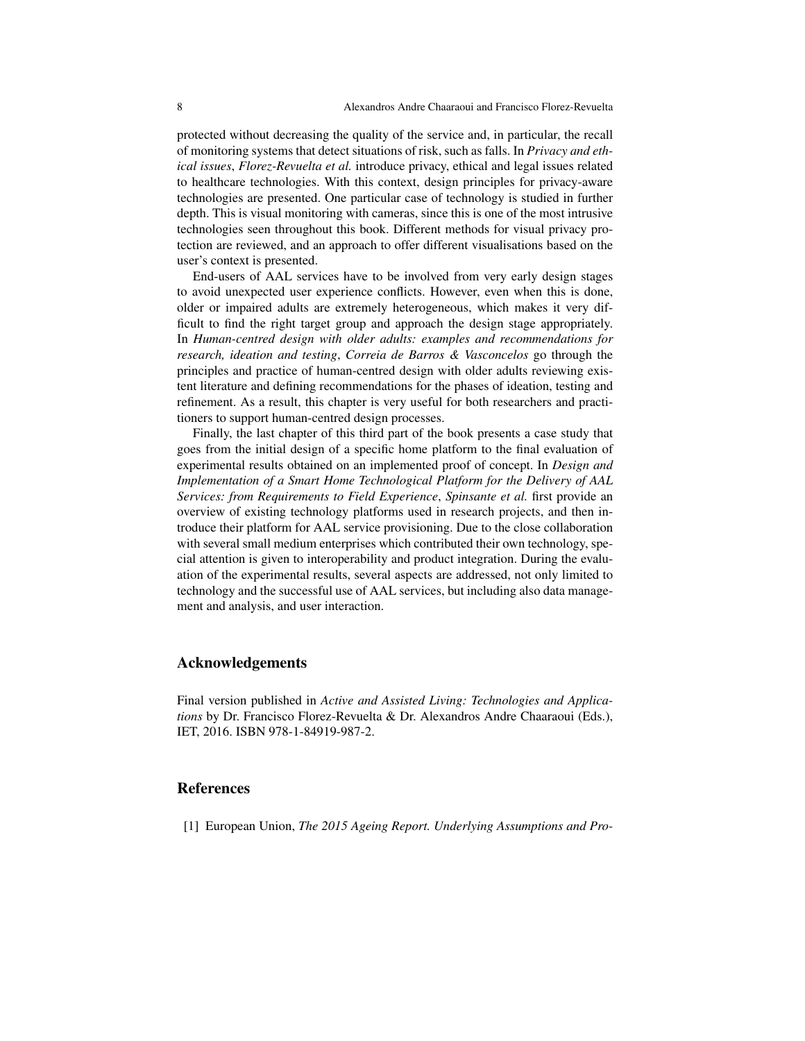protected without decreasing the quality of the service and, in particular, the recall of monitoring systems that detect situations of risk, such as falls. In *Privacy and ethical issues*, *Florez-Revuelta et al.* introduce privacy, ethical and legal issues related to healthcare technologies. With this context, design principles for privacy-aware technologies are presented. One particular case of technology is studied in further depth. This is visual monitoring with cameras, since this is one of the most intrusive technologies seen throughout this book. Different methods for visual privacy protection are reviewed, and an approach to offer different visualisations based on the user's context is presented.

End-users of AAL services have to be involved from very early design stages to avoid unexpected user experience conflicts. However, even when this is done, older or impaired adults are extremely heterogeneous, which makes it very difficult to find the right target group and approach the design stage appropriately. In *Human-centred design with older adults: examples and recommendations for research, ideation and testing*, *Correia de Barros & Vasconcelos* go through the principles and practice of human-centred design with older adults reviewing existent literature and defining recommendations for the phases of ideation, testing and refinement. As a result, this chapter is very useful for both researchers and practitioners to support human-centred design processes.

Finally, the last chapter of this third part of the book presents a case study that goes from the initial design of a specific home platform to the final evaluation of experimental results obtained on an implemented proof of concept. In *Design and Implementation of a Smart Home Technological Platform for the Delivery of AAL Services: from Requirements to Field Experience*, *Spinsante et al.* first provide an overview of existing technology platforms used in research projects, and then introduce their platform for AAL service provisioning. Due to the close collaboration with several small medium enterprises which contributed their own technology, special attention is given to interoperability and product integration. During the evaluation of the experimental results, several aspects are addressed, not only limited to technology and the successful use of AAL services, but including also data management and analysis, and user interaction.

#### Acknowledgements

Final version published in *Active and Assisted Living: Technologies and Applications* by Dr. Francisco Florez-Revuelta & Dr. Alexandros Andre Chaaraoui (Eds.), IET, 2016. ISBN 978-1-84919-987-2.

#### **References**

<span id="page-7-0"></span>[1] European Union, *The 2015 Ageing Report. Underlying Assumptions and Pro-*